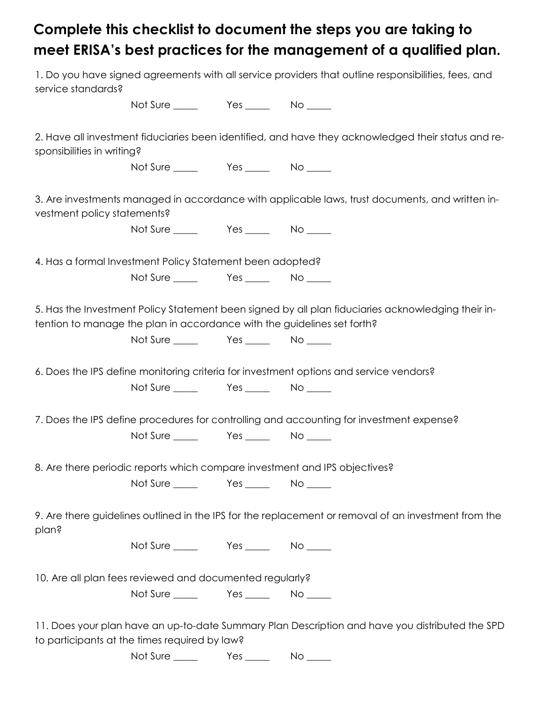## Complete this checklist to document the steps you are taking to meet ERISA's best practices for the management of a qualified plan.

| service standards?                                                                                                                               |                                                                         |  | 1. Do you have signed agreements with all service providers that outline responsibilities, fees, and |
|--------------------------------------------------------------------------------------------------------------------------------------------------|-------------------------------------------------------------------------|--|------------------------------------------------------------------------------------------------------|
|                                                                                                                                                  |                                                                         |  |                                                                                                      |
| 2. Have all investment fiduciaries been identified, and have they acknowledged their status and re-<br>sponsibilities in writing?                |                                                                         |  |                                                                                                      |
|                                                                                                                                                  |                                                                         |  |                                                                                                      |
| vestment policy statements?                                                                                                                      |                                                                         |  | 3. Are investments managed in accordance with applicable laws, trust documents, and written in-      |
|                                                                                                                                                  |                                                                         |  |                                                                                                      |
| 4. Has a formal Investment Policy Statement been adopted?                                                                                        |                                                                         |  |                                                                                                      |
|                                                                                                                                                  |                                                                         |  |                                                                                                      |
|                                                                                                                                                  | tention to manage the plan in accordance with the guidelines set forth? |  | 5. Has the Investment Policy Statement been signed by all plan fiduciaries acknowledging their in-   |
| 6. Does the IPS define monitoring criteria for investment options and service vendors?                                                           |                                                                         |  |                                                                                                      |
|                                                                                                                                                  |                                                                         |  |                                                                                                      |
| 7. Does the IPS define procedures for controlling and accounting for investment expense?                                                         |                                                                         |  |                                                                                                      |
|                                                                                                                                                  |                                                                         |  |                                                                                                      |
| 8. Are there periodic reports which compare investment and IPS objectives?                                                                       |                                                                         |  |                                                                                                      |
|                                                                                                                                                  |                                                                         |  |                                                                                                      |
| plan?                                                                                                                                            |                                                                         |  | 9. Are there guidelines outlined in the IPS for the replacement or removal of an investment from the |
|                                                                                                                                                  |                                                                         |  |                                                                                                      |
| 10. Are all plan fees reviewed and documented regularly?                                                                                         |                                                                         |  |                                                                                                      |
|                                                                                                                                                  |                                                                         |  |                                                                                                      |
| 11. Does your plan have an up-to-date Summary Plan Description and have you distributed the SPD<br>to participants at the times required by law? |                                                                         |  |                                                                                                      |

Not Sure \_\_\_\_\_\_ Yes \_\_\_\_\_ No \_\_\_\_\_